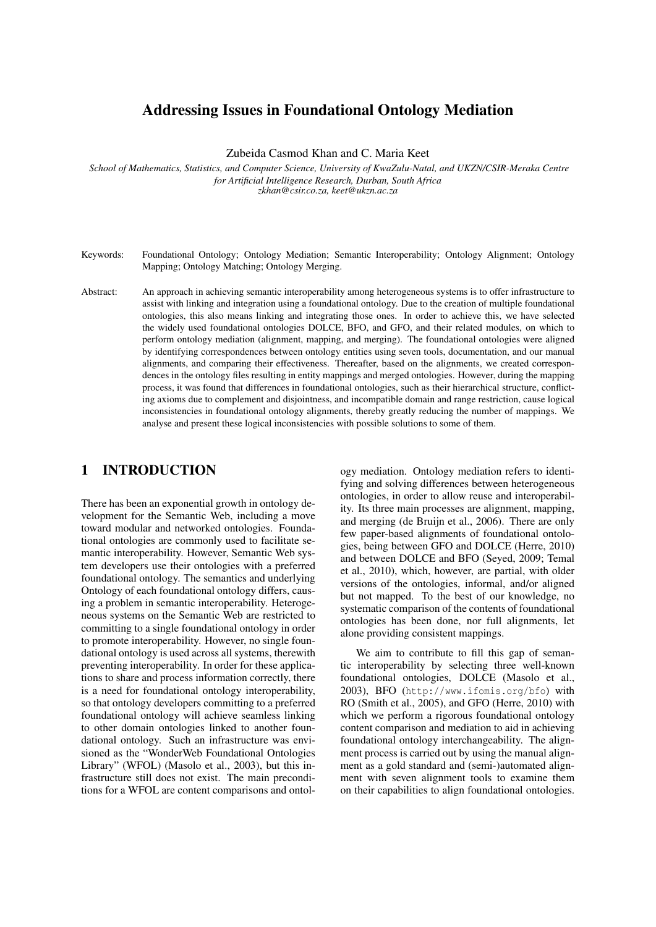# Addressing Issues in Foundational Ontology Mediation

Zubeida Casmod Khan and C. Maria Keet

*School of Mathematics, Statistics, and Computer Science, University of KwaZulu-Natal, and UKZN/CSIR-Meraka Centre for Artificial Intelligence Research, Durban, South Africa zkhan@csir.co.za, keet@ukzn.ac.za*

- Keywords: Foundational Ontology; Ontology Mediation; Semantic Interoperability; Ontology Alignment; Ontology Mapping; Ontology Matching; Ontology Merging.
- Abstract: An approach in achieving semantic interoperability among heterogeneous systems is to offer infrastructure to assist with linking and integration using a foundational ontology. Due to the creation of multiple foundational ontologies, this also means linking and integrating those ones. In order to achieve this, we have selected the widely used foundational ontologies DOLCE, BFO, and GFO, and their related modules, on which to perform ontology mediation (alignment, mapping, and merging). The foundational ontologies were aligned by identifying correspondences between ontology entities using seven tools, documentation, and our manual alignments, and comparing their effectiveness. Thereafter, based on the alignments, we created correspondences in the ontology files resulting in entity mappings and merged ontologies. However, during the mapping process, it was found that differences in foundational ontologies, such as their hierarchical structure, conflicting axioms due to complement and disjointness, and incompatible domain and range restriction, cause logical inconsistencies in foundational ontology alignments, thereby greatly reducing the number of mappings. We analyse and present these logical inconsistencies with possible solutions to some of them.

## 1 INTRODUCTION

There has been an exponential growth in ontology development for the Semantic Web, including a move toward modular and networked ontologies. Foundational ontologies are commonly used to facilitate semantic interoperability. However, Semantic Web system developers use their ontologies with a preferred foundational ontology. The semantics and underlying Ontology of each foundational ontology differs, causing a problem in semantic interoperability. Heterogeneous systems on the Semantic Web are restricted to committing to a single foundational ontology in order to promote interoperability. However, no single foundational ontology is used across all systems, therewith preventing interoperability. In order for these applications to share and process information correctly, there is a need for foundational ontology interoperability, so that ontology developers committing to a preferred foundational ontology will achieve seamless linking to other domain ontologies linked to another foundational ontology. Such an infrastructure was envisioned as the "WonderWeb Foundational Ontologies Library" (WFOL) (Masolo et al., 2003), but this infrastructure still does not exist. The main preconditions for a WFOL are content comparisons and ontology mediation. Ontology mediation refers to identifying and solving differences between heterogeneous ontologies, in order to allow reuse and interoperability. Its three main processes are alignment, mapping, and merging (de Bruijn et al., 2006). There are only few paper-based alignments of foundational ontologies, being between GFO and DOLCE (Herre, 2010) and between DOLCE and BFO (Seyed, 2009; Temal et al., 2010), which, however, are partial, with older versions of the ontologies, informal, and/or aligned but not mapped. To the best of our knowledge, no systematic comparison of the contents of foundational ontologies has been done, nor full alignments, let alone providing consistent mappings.

We aim to contribute to fill this gap of semantic interoperability by selecting three well-known foundational ontologies, DOLCE (Masolo et al., 2003), BFO (http://www.ifomis.org/bfo) with RO (Smith et al., 2005), and GFO (Herre, 2010) with which we perform a rigorous foundational ontology content comparison and mediation to aid in achieving foundational ontology interchangeability. The alignment process is carried out by using the manual alignment as a gold standard and (semi-)automated alignment with seven alignment tools to examine them on their capabilities to align foundational ontologies.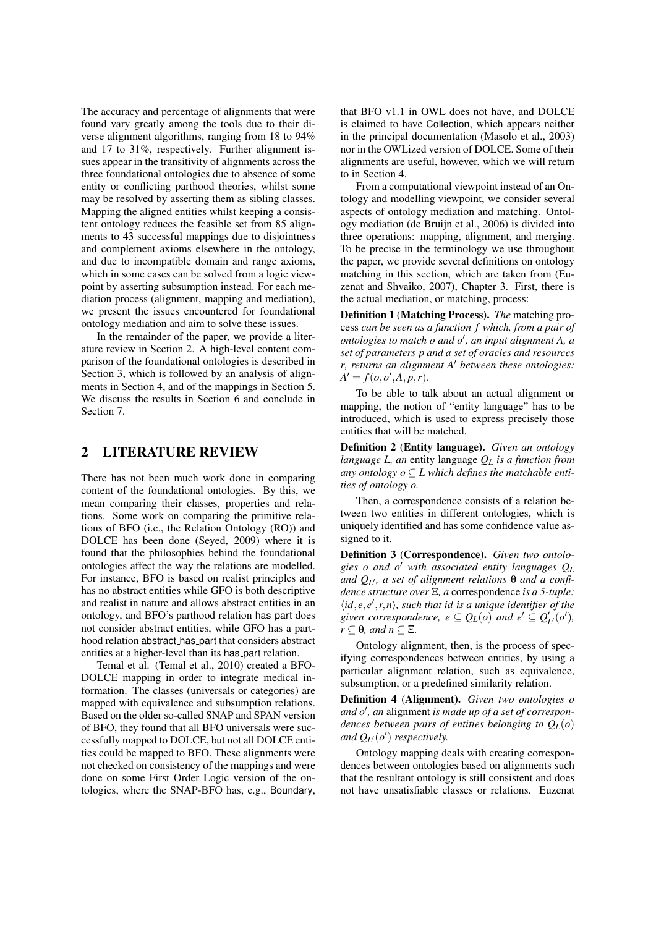The accuracy and percentage of alignments that were found vary greatly among the tools due to their diverse alignment algorithms, ranging from 18 to 94% and 17 to 31%, respectively. Further alignment issues appear in the transitivity of alignments across the three foundational ontologies due to absence of some entity or conflicting parthood theories, whilst some may be resolved by asserting them as sibling classes. Mapping the aligned entities whilst keeping a consistent ontology reduces the feasible set from 85 alignments to 43 successful mappings due to disjointness and complement axioms elsewhere in the ontology, and due to incompatible domain and range axioms, which in some cases can be solved from a logic viewpoint by asserting subsumption instead. For each mediation process (alignment, mapping and mediation), we present the issues encountered for foundational ontology mediation and aim to solve these issues.

In the remainder of the paper, we provide a literature review in Section 2. A high-level content comparison of the foundational ontologies is described in Section 3, which is followed by an analysis of alignments in Section 4, and of the mappings in Section 5. We discuss the results in Section 6 and conclude in Section 7.

## 2 LITERATURE REVIEW

There has not been much work done in comparing content of the foundational ontologies. By this, we mean comparing their classes, properties and relations. Some work on comparing the primitive relations of BFO (i.e., the Relation Ontology (RO)) and DOLCE has been done (Seyed, 2009) where it is found that the philosophies behind the foundational ontologies affect the way the relations are modelled. For instance, BFO is based on realist principles and has no abstract entities while GFO is both descriptive and realist in nature and allows abstract entities in an ontology, and BFO's parthood relation has part does not consider abstract entities, while GFO has a parthood relation abstract has part that considers abstract entities at a higher-level than its has part relation.

Temal et al. (Temal et al., 2010) created a BFO-DOLCE mapping in order to integrate medical information. The classes (universals or categories) are mapped with equivalence and subsumption relations. Based on the older so-called SNAP and SPAN version of BFO, they found that all BFO universals were successfully mapped to DOLCE, but not all DOLCE entities could be mapped to BFO. These alignments were not checked on consistency of the mappings and were done on some First Order Logic version of the ontologies, where the SNAP-BFO has, e.g., Boundary,

that BFO v1.1 in OWL does not have, and DOLCE is claimed to have Collection, which appears neither in the principal documentation (Masolo et al., 2003) nor in the OWLized version of DOLCE. Some of their alignments are useful, however, which we will return to in Section 4.

From a computational viewpoint instead of an Ontology and modelling viewpoint, we consider several aspects of ontology mediation and matching. Ontology mediation (de Bruijn et al., 2006) is divided into three operations: mapping, alignment, and merging. To be precise in the terminology we use throughout the paper, we provide several definitions on ontology matching in this section, which are taken from (Euzenat and Shvaiko, 2007), Chapter 3. First, there is the actual mediation, or matching, process:

Definition 1 (Matching Process). *The* matching process *can be seen as a function f which, from a pair of ontologies to match o and o', an input alignment A, a set of parameters p and a set of oracles and resources r*, returns an alignment A' between these ontologies:  $A' = f(o, o', A, p, r)$ .

To be able to talk about an actual alignment or mapping, the notion of "entity language" has to be introduced, which is used to express precisely those entities that will be matched.

Definition 2 (Entity language). *Given an ontology language L, an* entity language *Q<sup>L</sup> is a function from* any ontology  $o \subseteq L$  which defines the matchable enti*ties of ontology o.*

Then, a correspondence consists of a relation between two entities in different ontologies, which is uniquely identified and has some confidence value assigned to it.

Definition 3 (Correspondence). *Given two ontologies o and o' with associated entity languages*  $Q_L$ *and Q<sup>L</sup>* <sup>0</sup> *, a set of alignment relations* θ *and a confidence structure over* Ξ*, a* correspondence *is a 5-tuple:*  $\langle id, e, e', r, n \rangle$ , such that id is a unique identifier of the *given correspondence,*  $e \subseteq Q_L(o)$  *<i>and*  $e' \subseteq Q'_{L'}(o'),$  $r ⊆ θ$ *, and n* ⊆ Ξ*.* 

Ontology alignment, then, is the process of specifying correspondences between entities, by using a particular alignment relation, such as equivalence, subsumption, or a predefined similarity relation.

Definition 4 (Alignment). *Given two ontologies o* and o', an alignment *is made up of a set of correspondences between pairs of entities belonging to QL*(*o*) and  $Q_{L'}(o')$  *respectively.* 

Ontology mapping deals with creating correspondences between ontologies based on alignments such that the resultant ontology is still consistent and does not have unsatisfiable classes or relations. Euzenat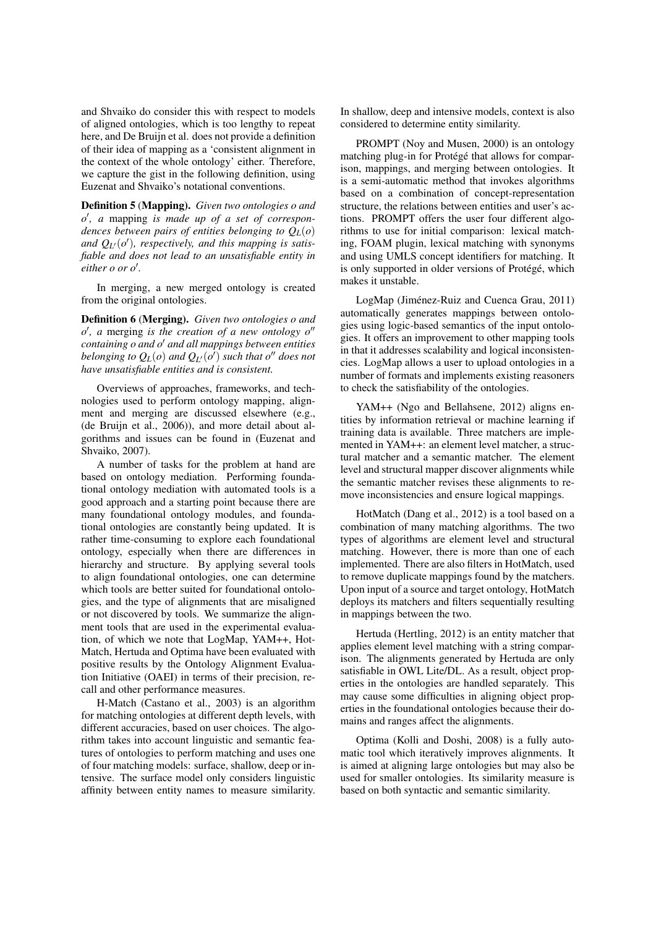and Shvaiko do consider this with respect to models of aligned ontologies, which is too lengthy to repeat here, and De Bruijn et al. does not provide a definition of their idea of mapping as a 'consistent alignment in the context of the whole ontology' either. Therefore, we capture the gist in the following definition, using Euzenat and Shvaiko's notational conventions.

Definition 5 (Mapping). *Given two ontologies o and o* 0 *, a* mapping *is made up of a set of correspondences between pairs of entities belonging to QL*(*o*) and  $Q_{L'}(o')$ , respectively, and this mapping is satis*fiable and does not lead to an unsatisfiable entity in*  $\emph{either o or o'.}$ 

In merging, a new merged ontology is created from the original ontologies.

Definition 6 (Merging). *Given two ontologies o and*  $o'$ , a merging *is the creation of a new ontology*  $o''$ *containing o and o' and all mappings between entities belonging to*  $Q_L(o)$  *and*  $Q_{L'}(o')$  *such that*  $o''$  *does not have unsatisfiable entities and is consistent.*

Overviews of approaches, frameworks, and technologies used to perform ontology mapping, alignment and merging are discussed elsewhere (e.g., (de Bruijn et al., 2006)), and more detail about algorithms and issues can be found in (Euzenat and Shvaiko, 2007).

A number of tasks for the problem at hand are based on ontology mediation. Performing foundational ontology mediation with automated tools is a good approach and a starting point because there are many foundational ontology modules, and foundational ontologies are constantly being updated. It is rather time-consuming to explore each foundational ontology, especially when there are differences in hierarchy and structure. By applying several tools to align foundational ontologies, one can determine which tools are better suited for foundational ontologies, and the type of alignments that are misaligned or not discovered by tools. We summarize the alignment tools that are used in the experimental evaluation, of which we note that LogMap, YAM++, Hot-Match, Hertuda and Optima have been evaluated with positive results by the Ontology Alignment Evaluation Initiative (OAEI) in terms of their precision, recall and other performance measures.

H-Match (Castano et al., 2003) is an algorithm for matching ontologies at different depth levels, with different accuracies, based on user choices. The algorithm takes into account linguistic and semantic features of ontologies to perform matching and uses one of four matching models: surface, shallow, deep or intensive. The surface model only considers linguistic affinity between entity names to measure similarity.

In shallow, deep and intensive models, context is also considered to determine entity similarity.

PROMPT (Noy and Musen, 2000) is an ontology matching plug-in for Protégé that allows for comparison, mappings, and merging between ontologies. It is a semi-automatic method that invokes algorithms based on a combination of concept-representation structure, the relations between entities and user's actions. PROMPT offers the user four different algorithms to use for initial comparison: lexical matching, FOAM plugin, lexical matching with synonyms and using UMLS concept identifiers for matching. It is only supported in older versions of Protégé, which makes it unstable.

LogMap (Jiménez-Ruiz and Cuenca Grau, 2011) automatically generates mappings between ontologies using logic-based semantics of the input ontologies. It offers an improvement to other mapping tools in that it addresses scalability and logical inconsistencies. LogMap allows a user to upload ontologies in a number of formats and implements existing reasoners to check the satisfiability of the ontologies.

YAM++ (Ngo and Bellahsene, 2012) aligns entities by information retrieval or machine learning if training data is available. Three matchers are implemented in YAM++: an element level matcher, a structural matcher and a semantic matcher. The element level and structural mapper discover alignments while the semantic matcher revises these alignments to remove inconsistencies and ensure logical mappings.

HotMatch (Dang et al., 2012) is a tool based on a combination of many matching algorithms. The two types of algorithms are element level and structural matching. However, there is more than one of each implemented. There are also filters in HotMatch, used to remove duplicate mappings found by the matchers. Upon input of a source and target ontology, HotMatch deploys its matchers and filters sequentially resulting in mappings between the two.

Hertuda (Hertling, 2012) is an entity matcher that applies element level matching with a string comparison. The alignments generated by Hertuda are only satisfiable in OWL Lite/DL. As a result, object properties in the ontologies are handled separately. This may cause some difficulties in aligning object properties in the foundational ontologies because their domains and ranges affect the alignments.

Optima (Kolli and Doshi, 2008) is a fully automatic tool which iteratively improves alignments. It is aimed at aligning large ontologies but may also be used for smaller ontologies. Its similarity measure is based on both syntactic and semantic similarity.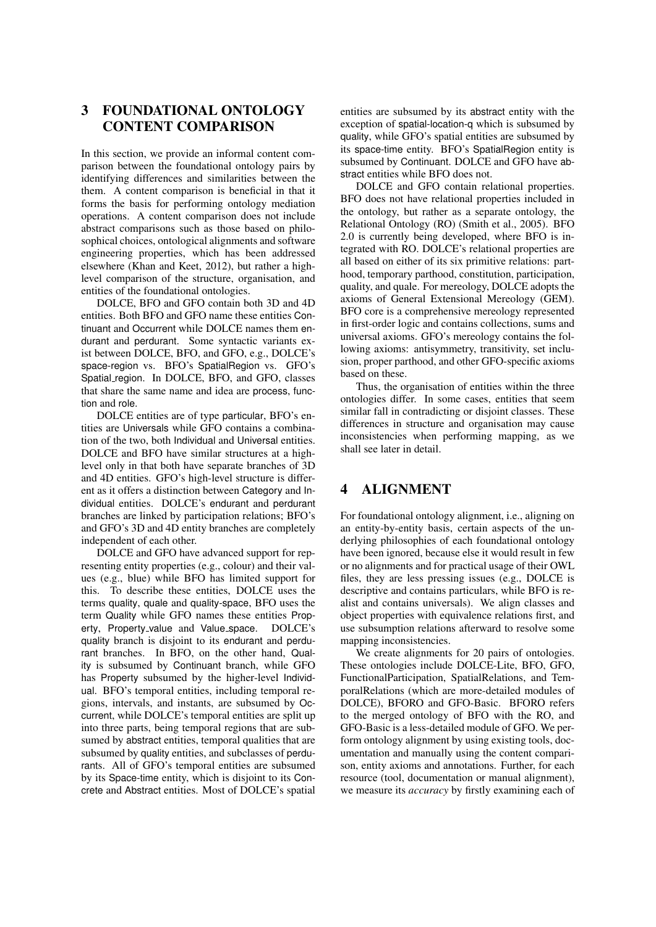# 3 FOUNDATIONAL ONTOLOGY CONTENT COMPARISON

In this section, we provide an informal content comparison between the foundational ontology pairs by identifying differences and similarities between the them. A content comparison is beneficial in that it forms the basis for performing ontology mediation operations. A content comparison does not include abstract comparisons such as those based on philosophical choices, ontological alignments and software engineering properties, which has been addressed elsewhere (Khan and Keet, 2012), but rather a highlevel comparison of the structure, organisation, and entities of the foundational ontologies.

DOLCE, BFO and GFO contain both 3D and 4D entities. Both BFO and GFO name these entities Continuant and Occurrent while DOLCE names them endurant and perdurant. Some syntactic variants exist between DOLCE, BFO, and GFO, e.g., DOLCE's space-region vs. BFO's SpatialRegion vs. GFO's Spatial region. In DOLCE, BFO, and GFO, classes that share the same name and idea are process, function and role.

DOLCE entities are of type particular, BFO's entities are Universals while GFO contains a combination of the two, both Individual and Universal entities. DOLCE and BFO have similar structures at a highlevel only in that both have separate branches of 3D and 4D entities. GFO's high-level structure is different as it offers a distinction between Category and Individual entities. DOLCE's endurant and perdurant branches are linked by participation relations; BFO's and GFO's 3D and 4D entity branches are completely independent of each other.

DOLCE and GFO have advanced support for representing entity properties (e.g., colour) and their values (e.g., blue) while BFO has limited support for this. To describe these entities, DOLCE uses the terms quality, quale and quality-space, BFO uses the term Quality while GFO names these entities Property, Property\_value and Value\_space. DOLCE's quality branch is disjoint to its endurant and perdurant branches. In BFO, on the other hand, Quality is subsumed by Continuant branch, while GFO has Property subsumed by the higher-level Individual. BFO's temporal entities, including temporal regions, intervals, and instants, are subsumed by Occurrent, while DOLCE's temporal entities are split up into three parts, being temporal regions that are subsumed by abstract entities, temporal qualities that are subsumed by quality entities, and subclasses of perdurants. All of GFO's temporal entities are subsumed by its Space-time entity, which is disjoint to its Concrete and Abstract entities. Most of DOLCE's spatial entities are subsumed by its abstract entity with the exception of spatial-location-q which is subsumed by quality, while GFO's spatial entities are subsumed by its space-time entity. BFO's SpatialRegion entity is subsumed by Continuant. DOLCE and GFO have abstract entities while BFO does not.

DOLCE and GFO contain relational properties. BFO does not have relational properties included in the ontology, but rather as a separate ontology, the Relational Ontology (RO) (Smith et al., 2005). BFO 2.0 is currently being developed, where BFO is integrated with RO. DOLCE's relational properties are all based on either of its six primitive relations: parthood, temporary parthood, constitution, participation, quality, and quale. For mereology, DOLCE adopts the axioms of General Extensional Mereology (GEM). BFO core is a comprehensive mereology represented in first-order logic and contains collections, sums and universal axioms. GFO's mereology contains the following axioms: antisymmetry, transitivity, set inclusion, proper parthood, and other GFO-specific axioms based on these.

Thus, the organisation of entities within the three ontologies differ. In some cases, entities that seem similar fall in contradicting or disjoint classes. These differences in structure and organisation may cause inconsistencies when performing mapping, as we shall see later in detail.

# 4 ALIGNMENT

For foundational ontology alignment, i.e., aligning on an entity-by-entity basis, certain aspects of the underlying philosophies of each foundational ontology have been ignored, because else it would result in few or no alignments and for practical usage of their OWL files, they are less pressing issues (e.g., DOLCE is descriptive and contains particulars, while BFO is realist and contains universals). We align classes and object properties with equivalence relations first, and use subsumption relations afterward to resolve some mapping inconsistencies.

We create alignments for 20 pairs of ontologies. These ontologies include DOLCE-Lite, BFO, GFO, FunctionalParticipation, SpatialRelations, and TemporalRelations (which are more-detailed modules of DOLCE), BFORO and GFO-Basic. BFORO refers to the merged ontology of BFO with the RO, and GFO-Basic is a less-detailed module of GFO. We perform ontology alignment by using existing tools, documentation and manually using the content comparison, entity axioms and annotations. Further, for each resource (tool, documentation or manual alignment), we measure its *accuracy* by firstly examining each of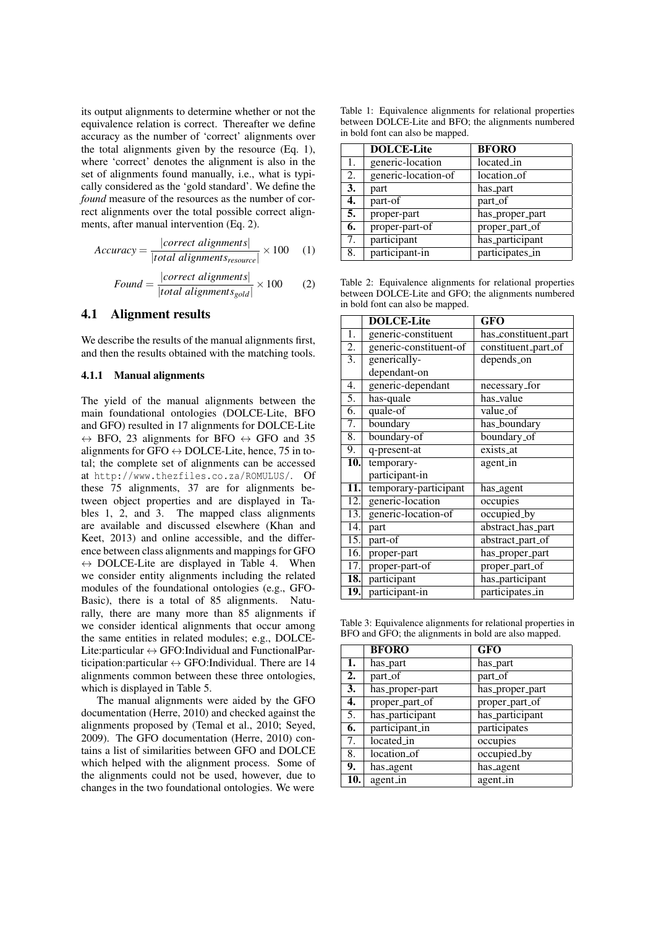its output alignments to determine whether or not the equivalence relation is correct. Thereafter we define accuracy as the number of 'correct' alignments over the total alignments given by the resource (Eq. 1), where 'correct' denotes the alignment is also in the set of alignments found manually, i.e., what is typically considered as the 'gold standard'. We define the *found* measure of the resources as the number of correct alignments over the total possible correct alignments, after manual intervention (Eq. 2).

$$
Accuracy = \frac{|correct\ alignments|}{|total\ alignments_{resource}|} \times 100 \quad (1)
$$

$$
Found = \frac{|correct\ alignments|}{|total\ alignments_{gold}|} \times 100
$$
 (2)

### 4.1 Alignment results

We describe the results of the manual alignments first, and then the results obtained with the matching tools.

#### 4.1.1 Manual alignments

The yield of the manual alignments between the main foundational ontologies (DOLCE-Lite, BFO and GFO) resulted in 17 alignments for DOLCE-Lite  $\leftrightarrow$  BFO, 23 alignments for BFO  $\leftrightarrow$  GFO and 35 alignments for GFO  $\leftrightarrow$  DOLCE-Lite, hence, 75 in total; the complete set of alignments can be accessed at http://www.thezfiles.co.za/ROMULUS/. Of these 75 alignments, 37 are for alignments between object properties and are displayed in Tables 1, 2, and 3. The mapped class alignments are available and discussed elsewhere (Khan and Keet, 2013) and online accessible, and the difference between class alignments and mappings for GFO  $\leftrightarrow$  DOLCE-Lite are displayed in Table 4. When we consider entity alignments including the related modules of the foundational ontologies (e.g., GFO-Basic), there is a total of 85 alignments. Naturally, there are many more than 85 alignments if we consider identical alignments that occur among the same entities in related modules; e.g., DOLCE-Lite: particular  $\leftrightarrow$  GFO: Individual and Functional Participation: particular  $\leftrightarrow$  GFO: Individual. There are 14 alignments common between these three ontologies, which is displayed in Table 5.

The manual alignments were aided by the GFO documentation (Herre, 2010) and checked against the alignments proposed by (Temal et al., 2010; Seyed, 2009). The GFO documentation (Herre, 2010) contains a list of similarities between GFO and DOLCE which helped with the alignment process. Some of the alignments could not be used, however, due to changes in the two foundational ontologies. We were

Table 1: Equivalence alignments for relational properties between DOLCE-Lite and BFO; the alignments numbered in bold font can also be mapped.

|                  | <b>DOLCE-Lite</b>   | <b>BFORO</b>    |
|------------------|---------------------|-----------------|
| 1.               | generic-location    | located_in      |
| 2.               | generic-location-of | location of     |
| $\overline{3}$ . | part                | has_part        |
| 4.               | part-of             | part_of         |
| 5.               | proper-part         | has_proper_part |
| 6.               | proper-part-of      | proper_part_of  |
| 7.               | participant         | has_participant |
| 8.               | participant-in      | participates_in |

Table 2: Equivalence alignments for relational properties between DOLCE-Lite and GFO; the alignments numbered in bold font can also be mapped.

|                   | <b>DOLCE-Lite</b>      | $\overline{\textbf{GFO}}$ |
|-------------------|------------------------|---------------------------|
| 1.                | generic-constituent    | has_constituent_part      |
| 2.                | generic-constituent-of | constituent_part_of       |
| 3.                | generically-           | depends_on                |
|                   | dependant-on           |                           |
| 4.                | generic-dependant      | necessary_for             |
| 5.                | has-quale              | has_value                 |
| 6.                | quale-of               | value_of                  |
| 7.                | boundary               | has_boundary              |
| 8.                | boundary-of            | boundary_of               |
| 9.                | q-present-at           | exists_at                 |
| 10.               | temporary-             | agent_in                  |
|                   | participant-in         |                           |
| 11.               | temporary-participant  | has_agent                 |
| 12.               | generic-location       | occupies                  |
| 13.               | generic-location-of    | occupied_by               |
| 14.               | part                   | abstract_has_part         |
| $\overline{15}$ . | part-of                | abstract_part_of          |
| 16.               | proper-part            | has_proper_part           |
| 17.               | proper-part-of         | proper_part_of            |
| 18.               | participant            | has_participant           |
| 19.               | participant-in         | participates_in           |

Table 3: Equivalence alignments for relational properties in BFO and GFO; the alignments in bold are also mapped.

|     | <b>BFORO</b>    | <b>GFO</b>      |
|-----|-----------------|-----------------|
| 1.  | has_part        | has_part        |
| 2.  | part_of         | part_of         |
| 3.  | has_proper-part | has_proper_part |
| 4.  | proper_part_of  | proper_part_of  |
| 5.  | has_participant | has_participant |
| 6.  | participant_in  | participates    |
| 7.  | located_in      | occupies        |
| 8.  | location_of     | occupied_by     |
| 9.  | has_agent       | has_agent       |
| 10. | agent_in        | agent_in        |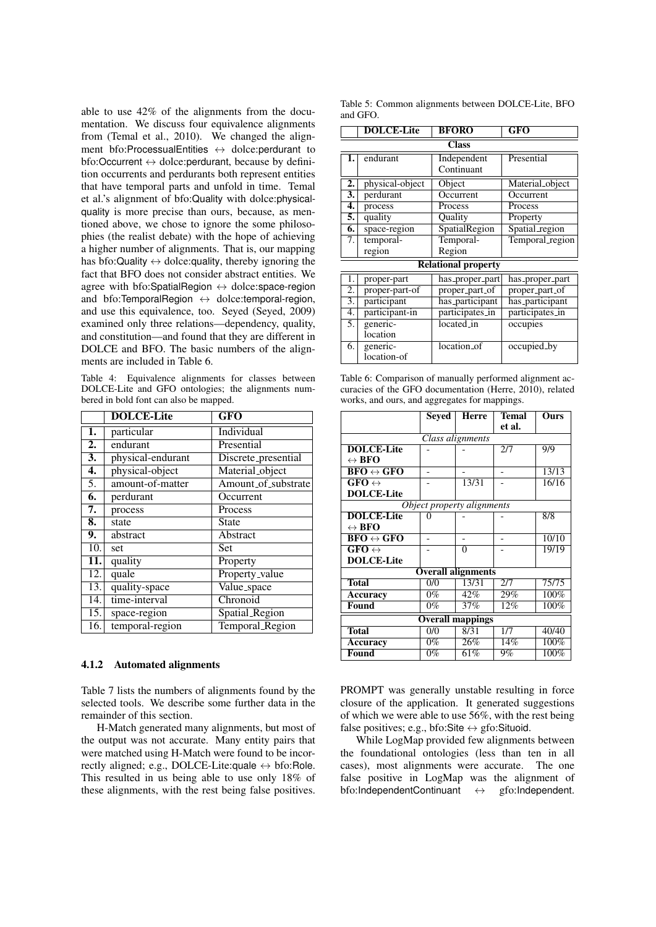able to use 42% of the alignments from the documentation. We discuss four equivalence alignments from (Temal et al., 2010). We changed the alignment bfo:ProcessualEntities  $\leftrightarrow$  dolce:perdurant to bfo:Occurrent  $\leftrightarrow$  dolce:perdurant, because by definition occurrents and perdurants both represent entities that have temporal parts and unfold in time. Temal et al.'s alignment of bfo:Quality with dolce:physicalquality is more precise than ours, because, as mentioned above, we chose to ignore the some philosophies (the realist debate) with the hope of achieving a higher number of alignments. That is, our mapping has bfo:Quality  $\leftrightarrow$  dolce:quality, thereby ignoring the fact that BFO does not consider abstract entities. We agree with bfo:SpatialRegion  $\leftrightarrow$  dolce:space-region and bfo:TemporalRegion  $\leftrightarrow$  dolce:temporal-region, and use this equivalence, too. Seyed (Seyed, 2009) examined only three relations—dependency, quality, and constitution—and found that they are different in DOLCE and BFO. The basic numbers of the alignments are included in Table 6.

Table 4: Equivalence alignments for classes between DOLCE-Lite and GFO ontologies; the alignments numbered in bold font can also be mapped.

|                   | <b>DOLCE-Lite</b> | <b>GFO</b>                      |
|-------------------|-------------------|---------------------------------|
| 1.                | particular        | Individual                      |
| 2.                | endurant          | Presential                      |
| 3.                | physical-endurant | Discrete <sub>-presential</sub> |
| 4.                | physical-object   | Material_object                 |
| 5.                | amount-of-matter  | Amount_of_substrate             |
| 6.                | perdurant         | Occurrent                       |
| 7.                | process           | Process                         |
| 8.                | state             | <b>State</b>                    |
| 9.                | abstract          | Abstract                        |
| $\overline{10}$ . | set               | <b>Set</b>                      |
| 11.               | quality           | Property                        |
| 12.               | quale             | Property_value                  |
| $\overline{13}$ . | quality-space     | Value_space                     |
| 14.               | time-interval     | Chronoid                        |
| 15.               | space-region      | Spatial_Region                  |
| 16.               | temporal-region   | <b>Temporal_Region</b>          |

#### 4.1.2 Automated alignments

Table 7 lists the numbers of alignments found by the selected tools. We describe some further data in the remainder of this section.

H-Match generated many alignments, but most of the output was not accurate. Many entity pairs that were matched using H-Match were found to be incorrectly aligned; e.g., DOLCE-Lite:quale  $\leftrightarrow$  bfo:Role. This resulted in us being able to use only 18% of these alignments, with the rest being false positives.

Table 5: Common alignments between DOLCE-Lite, BFO and GFO.

|              | <b>DOLCE-Lite</b> | <b>BFORO</b>               | <b>GFO</b>      |  |  |
|--------------|-------------------|----------------------------|-----------------|--|--|
| <b>Class</b> |                   |                            |                 |  |  |
| 1.           | endurant          | Independent                | Presential      |  |  |
|              |                   | Continuant                 |                 |  |  |
| 2.           | physical-object   | Object                     | Material_object |  |  |
| 3.           | perdurant         | Occurrent                  | Occurrent       |  |  |
| 4.           | process           | Process                    | Process         |  |  |
| 5.           | quality           | Ouality                    | Property        |  |  |
| 6.           | space-region      | SpatialRegion              | Spatial_region  |  |  |
| 7.           | temporal-         | Temporal-                  | Temporal_region |  |  |
|              | region            | Region                     |                 |  |  |
|              |                   | <b>Relational property</b> |                 |  |  |
| 1.           | proper-part       | has_proper_part            | has_proper_part |  |  |
| 2.           | proper-part-of    | proper_part_of             | proper_part_of  |  |  |
| 3.           | participant       | has_participant            | has_participant |  |  |
| 4.           | participant-in    | participates_in            | participates_in |  |  |
| 5.           | generic-          | located in                 | occupies        |  |  |
|              | location          |                            |                 |  |  |
| 6.           | generic-          | location of                | occupied_by     |  |  |
|              | location-of       |                            |                 |  |  |
|              |                   |                            |                 |  |  |

Table 6: Comparison of manually performed alignment accuracies of the GFO documentation (Herre, 2010), related works, and ours, and aggregates for mappings.

|                                           | <b>Seyed</b>     | <b>Herre</b>               | <b>Temal</b>     | Ours  |  |  |
|-------------------------------------------|------------------|----------------------------|------------------|-------|--|--|
|                                           |                  |                            | et al.           |       |  |  |
|                                           |                  | Class alignments           |                  |       |  |  |
| <b>DOLCE-Lite</b>                         |                  |                            | 2/7              | 9/9   |  |  |
| $\leftrightarrow$ BFO                     |                  |                            |                  |       |  |  |
| $\text{BFO} \leftrightarrow \text{GFO}$   |                  |                            |                  | 13/13 |  |  |
| $GFO \leftrightarrow$                     |                  | 13/31                      |                  | 16/16 |  |  |
| <b>DOLCE-Lite</b>                         |                  |                            |                  |       |  |  |
|                                           |                  | Object property alignments |                  |       |  |  |
| <b>DOLCE-Lite</b>                         | 0                |                            |                  | 8/8   |  |  |
| $\leftrightarrow$ BFO                     |                  |                            |                  |       |  |  |
| $\mathrm{BFO}\leftrightarrow\mathrm{GFO}$ |                  | -                          |                  | 10/10 |  |  |
| $\mathbf{GFO} \leftrightarrow$            |                  | $\theta$                   |                  | 19/19 |  |  |
| <b>DOLCE-Lite</b>                         |                  |                            |                  |       |  |  |
|                                           |                  | <b>Overall alignments</b>  |                  |       |  |  |
| <b>Total</b>                              | 0/0              | 13/31                      | 2/7              | 75/75 |  |  |
| <b>Accuracy</b>                           | $0\%$            | $\overline{42}\%$          | 29%              | 100%  |  |  |
| Found                                     | $0\%$            | 37%                        | 12%              | 100%  |  |  |
| <b>Overall mappings</b>                   |                  |                            |                  |       |  |  |
| <b>Total</b>                              | $\overline{0/0}$ | 8/31                       | $\overline{1/7}$ | 40/40 |  |  |
| Accuracy                                  | $0\%$            | 26%                        | 14%              | 100%  |  |  |
| Found                                     | $0\%$            | 61%                        | 9%               | 100%  |  |  |

PROMPT was generally unstable resulting in force closure of the application. It generated suggestions of which we were able to use 56%, with the rest being false positives; e.g., bfo:Site  $\leftrightarrow$  gfo:Situoid.

While LogMap provided few alignments between the foundational ontologies (less than ten in all cases), most alignments were accurate. The one false positive in LogMap was the alignment of bfo:IndependentContinuant ↔ gfo:Independent.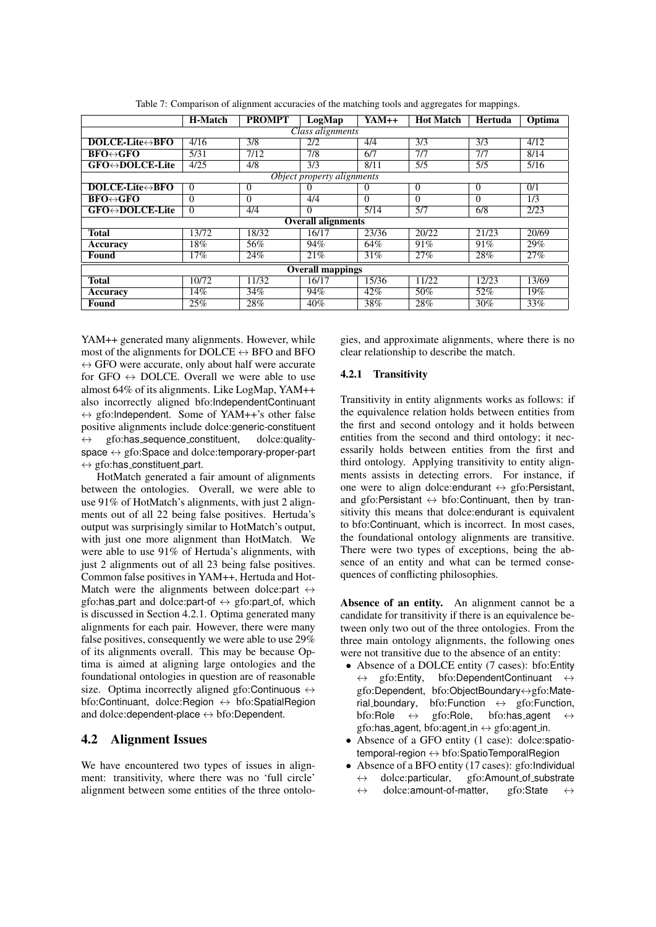|                                         | <b>H-Match</b> | <b>PROMPT</b> | LogMap                     | $YAM++$  | <b>Hot Match</b> | Hertuda  | Optima |
|-----------------------------------------|----------------|---------------|----------------------------|----------|------------------|----------|--------|
|                                         |                |               | Class alignments           |          |                  |          |        |
| $DOLCE\text{-}Life \leftrightarrow BFO$ | 4/16           | 3/8           | 2/2                        | 4/4      | 3/3              | 3/3      | 4/12   |
| $BFO \leftrightarrow GFO$               | 5/31           | 7/12          | 7/8                        | 6/7      | 7/7              | 7/7      | 8/14   |
| $GFO \leftrightarrow DOLCE\text{-}Life$ | 4/25           | 4/8           | 3/3                        | 8/11     | 5/5              | 5/5      | 5/16   |
|                                         |                |               | Object property alignments |          |                  |          |        |
| $DOLCE-Lite \leftrightarrow BFO$        | $\Omega$       | $\Omega$      | $_{0}$                     | 0        | $\Omega$         | $\Omega$ | 0/1    |
| $BFO \leftrightarrow GFO$               | $\Omega$       | $\Omega$      | 4/4                        | $\Omega$ | $\Omega$         | 0        | 1/3    |
| $GFO \leftrightarrow DOLCE\text{-}Life$ | 0              | 4/4           | $\Omega$                   | 5/14     | 5/7              | 6/8      | 2/23   |
|                                         |                |               | <b>Overall alignments</b>  |          |                  |          |        |
| <b>Total</b>                            | 13/72          | 18/32         | 16/17                      | 23/36    | 20/22            | 21/23    | 20/69  |
| Accuracy                                | 18%            | 56%           | 94%                        | 64%      | 91%              | 91%      | 29%    |
| Found                                   | 17%            | 24%           | 21%                        | 31%      | 27%              | 28%      | 27%    |
| <b>Overall mappings</b>                 |                |               |                            |          |                  |          |        |
| <b>Total</b>                            | 10/72          | 11/32         | 16/17                      | 15/36    | 11/22            | 12/23    | 13/69  |
| Accuracy                                | 14%            | 34%           | 94%                        | 42%      | 50%              | 52%      | 19%    |
| Found                                   | 25%            | 28%           | 40%                        | 38%      | 28%              | 30%      | 33%    |

Table 7: Comparison of alignment accuracies of the matching tools and aggregates for mappings.

YAM++ generated many alignments. However, while most of the alignments for DOLCE  $\leftrightarrow$  BFO and BFO  $\leftrightarrow$  GFO were accurate, only about half were accurate for GFO  $\leftrightarrow$  DOLCE. Overall we were able to use almost 64% of its alignments. Like LogMap, YAM++ also incorrectly aligned bfo:IndependentContinuant  $\leftrightarrow$  gfo:Independent. Some of YAM++'s other false positive alignments include dolce:generic-constituent ↔ gfo:has sequence constituent, dolce:qualityspace ↔ gfo:Space and dolce:temporary-proper-part  $\leftrightarrow$  gfo:has\_constituent\_part.

HotMatch generated a fair amount of alignments between the ontologies. Overall, we were able to use 91% of HotMatch's alignments, with just 2 alignments out of all 22 being false positives. Hertuda's output was surprisingly similar to HotMatch's output, with just one more alignment than HotMatch. We were able to use 91% of Hertuda's alignments, with just 2 alignments out of all 23 being false positives. Common false positives in YAM++, Hertuda and Hot-Match were the alignments between dolce:part  $\leftrightarrow$ gfo:has\_part and dolce:part-of  $\leftrightarrow$  gfo:part\_of, which is discussed in Section 4.2.1. Optima generated many alignments for each pair. However, there were many false positives, consequently we were able to use 29% of its alignments overall. This may be because Optima is aimed at aligning large ontologies and the foundational ontologies in question are of reasonable size. Optima incorrectly aligned gfo:Continuous  $\leftrightarrow$ bfo:Continuant, dolce:Region ↔ bfo:SpatialRegion and dolce: dependent-place  $\leftrightarrow$  bfo: Dependent.

### 4.2 Alignment Issues

We have encountered two types of issues in alignment: transitivity, where there was no 'full circle' alignment between some entities of the three ontologies, and approximate alignments, where there is no clear relationship to describe the match.

#### 4.2.1 Transitivity

Transitivity in entity alignments works as follows: if the equivalence relation holds between entities from the first and second ontology and it holds between entities from the second and third ontology; it necessarily holds between entities from the first and third ontology. Applying transitivity to entity alignments assists in detecting errors. For instance, if one were to align dolce: endurant  $\leftrightarrow$  gfo: Persistant, and gfo:Persistant  $\leftrightarrow$  bfo:Continuant, then by transitivity this means that dolce:endurant is equivalent to bfo:Continuant, which is incorrect. In most cases, the foundational ontology alignments are transitive. There were two types of exceptions, being the absence of an entity and what can be termed consequences of conflicting philosophies.

Absence of an entity. An alignment cannot be a candidate for transitivity if there is an equivalence between only two out of the three ontologies. From the three main ontology alignments, the following ones were not transitive due to the absence of an entity:

- Absence of a DOLCE entity (7 cases): bfo:Entity gfo:Entity, bfo:DependentContinuant  $\leftrightarrow$ gfo:Dependent, bfo:ObjectBoundary↔gfo:Material boundary, bfo:Function  $\leftrightarrow$  gfo:Function, bfo:Role ↔ gfo:Role, bfo:has agent ↔ gfo:has\_agent, bfo:agent\_in  $\leftrightarrow$  gfo:agent\_in.
- Absence of a GFO entity (1 case): dolce:spatiotemporal-region ↔ bfo:SpatioTemporalRegion
- Absence of a BFO entity (17 cases): gfo: Individual  $\leftrightarrow$  dolce:particular, gfo:Amount of substrate  $\leftrightarrow$  dolce: amount-of-matter, gfo: State  $\leftrightarrow$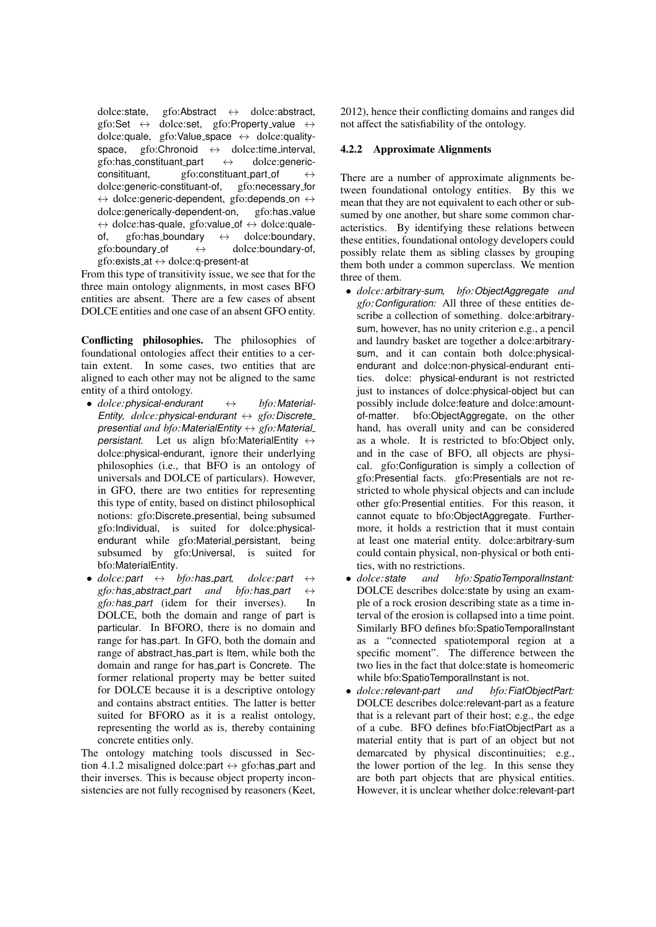$\text{dolec:} \text{state}, \quad \text{gfo:} \text{Abstract} \quad \leftrightarrow \quad \text{dolec:} \text{abstract},$ gfo:Set  $\leftrightarrow$  dolce:set, gfo:Property\_value  $\leftrightarrow$ dolce: quale, gfo: Value space  $\leftrightarrow$  dolce: qualityspace, gfo:Chronoid  $\leftrightarrow$  dolce:time\_interval, gfo:has\_constituant\_part  $\leftrightarrow$  dolce:qenericgfo:has\_constituant\_part  $\leftrightarrow$ consitituant, gfo:constituant\_part\_of  $\leftrightarrow$ dolce:generic-constituant-of, gfo:necessary\_for  $\leftrightarrow$  dolce:generic-dependent, gfo:depends on  $\leftrightarrow$ dolce:generically-dependent-on, gfo:has\_value  $\leftrightarrow$  dolce:has-quale, gfo:value\_of  $\leftrightarrow$  dolce:qualeof, gfo:has\_boundary  $\leftrightarrow$  dolce:boundary, gfo:boundary\_of  $\leftrightarrow$  dolce:boundary-of, gfo:exists at ↔ dolce:q-present-at

From this type of transitivity issue, we see that for the three main ontology alignments, in most cases BFO entities are absent. There are a few cases of absent DOLCE entities and one case of an absent GFO entity.

Conflicting philosophies. The philosophies of foundational ontologies affect their entities to a certain extent. In some cases, two entities that are aligned to each other may not be aligned to the same entity of a third ontology.

- *dolce:physical-endurant* ↔ *bfo:Material-Entity, dolce:physical-endurant* ↔ *gfo:Discrete presential and bfo:MaterialEntity* ↔ *gfo:Material persistant.* Let us align bfo:MaterialEntity ↔ dolce:physical-endurant, ignore their underlying philosophies (i.e., that BFO is an ontology of universals and DOLCE of particulars). However, in GFO, there are two entities for representing this type of entity, based on distinct philosophical notions: gfo:Discrete presential, being subsumed gfo:Individual, is suited for dolce:physicalendurant while gfo:Material persistant, being subsumed by gfo:Universal, is suited for bfo:MaterialEntity.
- *dolce:part* ↔ *bfo:has part, dolce:part* ↔ *gfo:has abstract part and bfo:has part* ↔ *gfo:has part* (idem for their inverses). In DOLCE, both the domain and range of part is particular. In BFORO, there is no domain and range for has part. In GFO, both the domain and range of abstract has part is Item, while both the domain and range for has part is Concrete. The former relational property may be better suited for DOLCE because it is a descriptive ontology and contains abstract entities. The latter is better suited for BFORO as it is a realist ontology, representing the world as is, thereby containing concrete entities only.

The ontology matching tools discussed in Section 4.1.2 misaligned dolce:part  $\leftrightarrow$  gfo:has\_part and their inverses. This is because object property inconsistencies are not fully recognised by reasoners (Keet, 2012), hence their conflicting domains and ranges did not affect the satisfiability of the ontology.

### 4.2.2 Approximate Alignments

There are a number of approximate alignments between foundational ontology entities. By this we mean that they are not equivalent to each other or subsumed by one another, but share some common characteristics. By identifying these relations between these entities, foundational ontology developers could possibly relate them as sibling classes by grouping them both under a common superclass. We mention three of them.

- *dolce:arbitrary-sum, bfo:ObjectAggregate and gfo:Configuration:* All three of these entities describe a collection of something. dolce:arbitrarysum, however, has no unity criterion e.g., a pencil and laundry basket are together a dolce:arbitrarysum, and it can contain both dolce:physicalendurant and dolce:non-physical-endurant entities. dolce: physical-endurant is not restricted just to instances of dolce:physical-object but can possibly include dolce:feature and dolce:amountof-matter. bfo:ObjectAggregate, on the other hand, has overall unity and can be considered as a whole. It is restricted to bfo:Object only, and in the case of BFO, all objects are physical. gfo:Configuration is simply a collection of gfo:Presential facts. gfo:Presentials are not restricted to whole physical objects and can include other gfo:Presential entities. For this reason, it cannot equate to bfo:ObjectAggregate. Furthermore, it holds a restriction that it must contain at least one material entity. dolce:arbitrary-sum could contain physical, non-physical or both entities, with no restrictions.
- *dolce:state and bfo:SpatioTemporalInstant:* DOLCE describes dolce:state by using an example of a rock erosion describing state as a time interval of the erosion is collapsed into a time point. Similarly BFO defines bfo:SpatioTemporalInstant as a "connected spatiotemporal region at a specific moment". The difference between the two lies in the fact that dolce:state is homeomeric while bfo:SpatioTemporalInstant is not.
- *dolce:relevant-part and bfo:FiatObjectPart:* DOLCE describes dolce:relevant-part as a feature that is a relevant part of their host; e.g., the edge of a cube. BFO defines bfo:FiatObjectPart as a material entity that is part of an object but not demarcated by physical discontinuities; e.g., the lower portion of the leg. In this sense they are both part objects that are physical entities. However, it is unclear whether dolce:relevant-part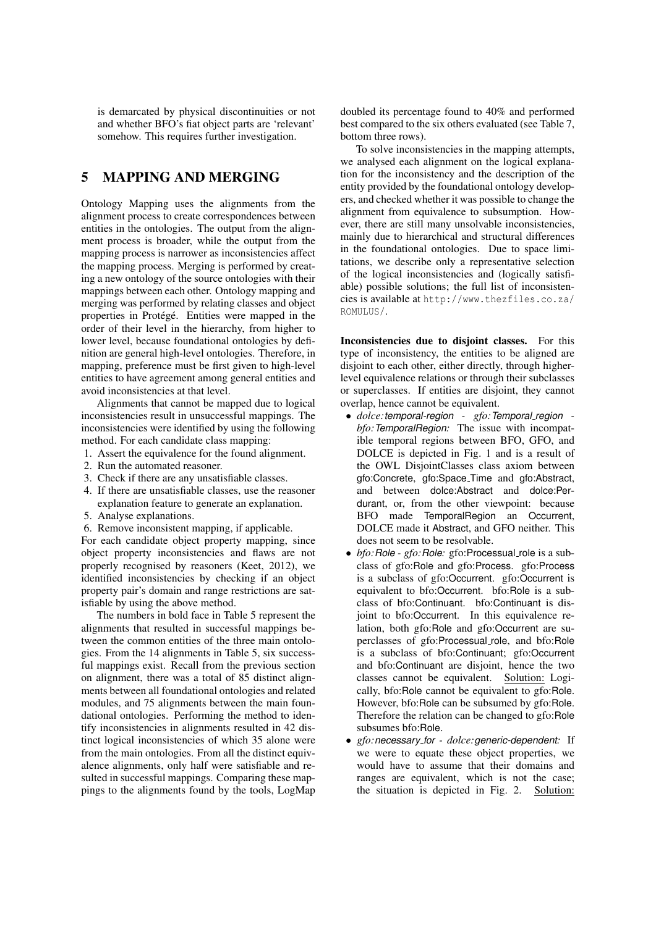is demarcated by physical discontinuities or not and whether BFO's fiat object parts are 'relevant' somehow. This requires further investigation.

## 5 MAPPING AND MERGING

Ontology Mapping uses the alignments from the alignment process to create correspondences between entities in the ontologies. The output from the alignment process is broader, while the output from the mapping process is narrower as inconsistencies affect the mapping process. Merging is performed by creating a new ontology of the source ontologies with their mappings between each other. Ontology mapping and merging was performed by relating classes and object properties in Protégé. Entities were mapped in the order of their level in the hierarchy, from higher to lower level, because foundational ontologies by definition are general high-level ontologies. Therefore, in mapping, preference must be first given to high-level entities to have agreement among general entities and avoid inconsistencies at that level.

Alignments that cannot be mapped due to logical inconsistencies result in unsuccessful mappings. The inconsistencies were identified by using the following method. For each candidate class mapping:

- 1. Assert the equivalence for the found alignment.
- 2. Run the automated reasoner.
- 3. Check if there are any unsatisfiable classes.
- 4. If there are unsatisfiable classes, use the reasoner explanation feature to generate an explanation.
- 5. Analyse explanations.
- 6. Remove inconsistent mapping, if applicable.

For each candidate object property mapping, since object property inconsistencies and flaws are not properly recognised by reasoners (Keet, 2012), we identified inconsistencies by checking if an object property pair's domain and range restrictions are satisfiable by using the above method.

The numbers in bold face in Table 5 represent the alignments that resulted in successful mappings between the common entities of the three main ontologies. From the 14 alignments in Table 5, six successful mappings exist. Recall from the previous section on alignment, there was a total of 85 distinct alignments between all foundational ontologies and related modules, and 75 alignments between the main foundational ontologies. Performing the method to identify inconsistencies in alignments resulted in 42 distinct logical inconsistencies of which 35 alone were from the main ontologies. From all the distinct equivalence alignments, only half were satisfiable and resulted in successful mappings. Comparing these mappings to the alignments found by the tools, LogMap doubled its percentage found to 40% and performed best compared to the six others evaluated (see Table 7, bottom three rows).

To solve inconsistencies in the mapping attempts, we analysed each alignment on the logical explanation for the inconsistency and the description of the entity provided by the foundational ontology developers, and checked whether it was possible to change the alignment from equivalence to subsumption. However, there are still many unsolvable inconsistencies, mainly due to hierarchical and structural differences in the foundational ontologies. Due to space limitations, we describe only a representative selection of the logical inconsistencies and (logically satisfiable) possible solutions; the full list of inconsistencies is available at http://www.thezfiles.co.za/ ROMULUS/.

Inconsistencies due to disjoint classes. For this type of inconsistency, the entities to be aligned are disjoint to each other, either directly, through higherlevel equivalence relations or through their subclasses or superclasses. If entities are disjoint, they cannot overlap, hence cannot be equivalent.

- *dolce:temporal-region gfo:Temporal region bfo:TemporalRegion:* The issue with incompatible temporal regions between BFO, GFO, and DOLCE is depicted in Fig. 1 and is a result of the OWL DisjointClasses class axiom between gfo:Concrete, gfo:Space Time and gfo:Abstract, and between dolce:Abstract and dolce:Perdurant, or, from the other viewpoint: because BFO made TemporalRegion an Occurrent, DOLCE made it Abstract, and GFO neither. This does not seem to be resolvable.
- *bfo:Role gfo:Role:* gfo:Processual role is a subclass of gfo:Role and gfo:Process. gfo:Process is a subclass of gfo:Occurrent. gfo:Occurrent is equivalent to bfo:Occurrent. bfo:Role is a subclass of bfo:Continuant. bfo:Continuant is disjoint to bfo:Occurrent. In this equivalence relation, both gfo:Role and gfo:Occurrent are superclasses of gfo:Processual role, and bfo:Role is a subclass of bfo:Continuant; gfo:Occurrent and bfo:Continuant are disjoint, hence the two classes cannot be equivalent. Solution: Logically, bfo:Role cannot be equivalent to gfo:Role. However, bfo:Role can be subsumed by gfo:Role. Therefore the relation can be changed to gfo:Role subsumes bfo:Role.
- *gfo:necessary for dolce:generic-dependent:* If we were to equate these object properties, we would have to assume that their domains and ranges are equivalent, which is not the case; the situation is depicted in Fig. 2. Solution: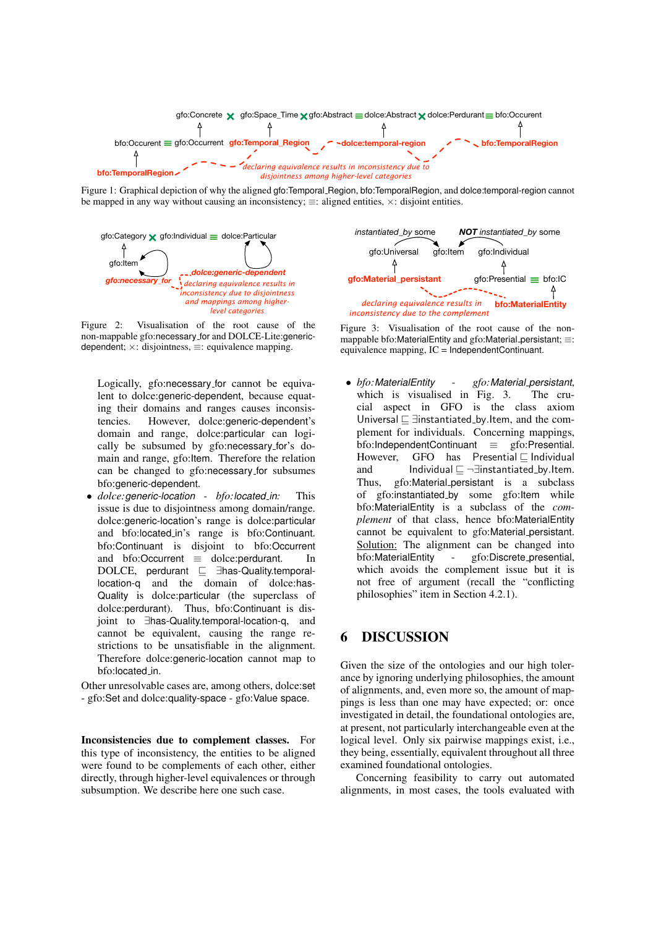

Figure 1: Graphical depiction of why the aligned gfo:Temporal Region, bfo:TemporalRegion, and dolce:temporal-region cannot be mapped in any way without causing an inconsistency; ≡: aligned entities, ×: disjoint entities.





Logically, gfo:necessary for cannot be equivalent to dolce:generic-dependent, because equating their domains and ranges causes inconsistencies. However, dolce:generic-dependent's domain and range, dolce:particular can logically be subsumed by gfo:necessary for's domain and range, gfo:Item. Therefore the relation can be changed to gfo:necessary for subsumes bfo:generic-dependent.

• *dolce:generic-location - bfo:located in:* This issue is due to disjointness among domain/range. dolce:generic-location's range is dolce:particular and bfo:located in's range is bfo:Continuant. bfo:Continuant is disjoint to bfo:Occurrent and bfo:Occurrent  $\equiv$  dolce:perdurant. In DOLCE, perdurant <del>⊑</del> ∃has-Quality.temporallocation-q and the domain of dolce:has-Quality is dolce:particular (the superclass of dolce:perdurant). Thus, bfo:Continuant is disjoint to ∃has-Quality.temporal-location-q, and cannot be equivalent, causing the range restrictions to be unsatisfiable in the alignment. Therefore dolce:generic-location cannot map to bfo:located in.

Other unresolvable cases are, among others, dolce:set - gfo:Set and dolce:quality-space - gfo:Value space.

Inconsistencies due to complement classes. For this type of inconsistency, the entities to be aligned were found to be complements of each other, either directly, through higher-level equivalences or through subsumption. We describe here one such case.



Figure 3: Visualisation of the root cause of the nonmappable bfo:MaterialEntity and gfo:Material persistant; ≡: equivalence mapping, IC = IndependentContinuant.

• *bfo:MaterialEntity - gfo:Material persistant*, which is visualised in Fig. 3. The crucial aspect in GFO is the class axiom Universal  $\sqsubseteq$  ∃instantiated\_by.Item, and the complement for individuals. Concerning mappings, bfo:IndependentContinuant ≡ gfo:Presential. However, GFO has Presential  $\sqsubseteq$  Individual and Individual  $\sqsubseteq \neg \exists$ instantiated by.Item. Thus, gfo:Material persistant is a subclass of gfo:instantiated by some gfo:Item while bfo:MaterialEntity is a subclass of the *complement* of that class, hence bfo:MaterialEntity cannot be equivalent to gfo:Material persistant. Solution: The alignment can be changed into bfo:MaterialEntity - gfo:Discrete presential, which avoids the complement issue but it is not free of argument (recall the "conflicting philosophies" item in Section 4.2.1).

## 6 DISCUSSION

Given the size of the ontologies and our high tolerance by ignoring underlying philosophies, the amount of alignments, and, even more so, the amount of mappings is less than one may have expected; or: once investigated in detail, the foundational ontologies are, at present, not particularly interchangeable even at the logical level. Only six pairwise mappings exist, i.e., they being, essentially, equivalent throughout all three examined foundational ontologies.

Concerning feasibility to carry out automated alignments, in most cases, the tools evaluated with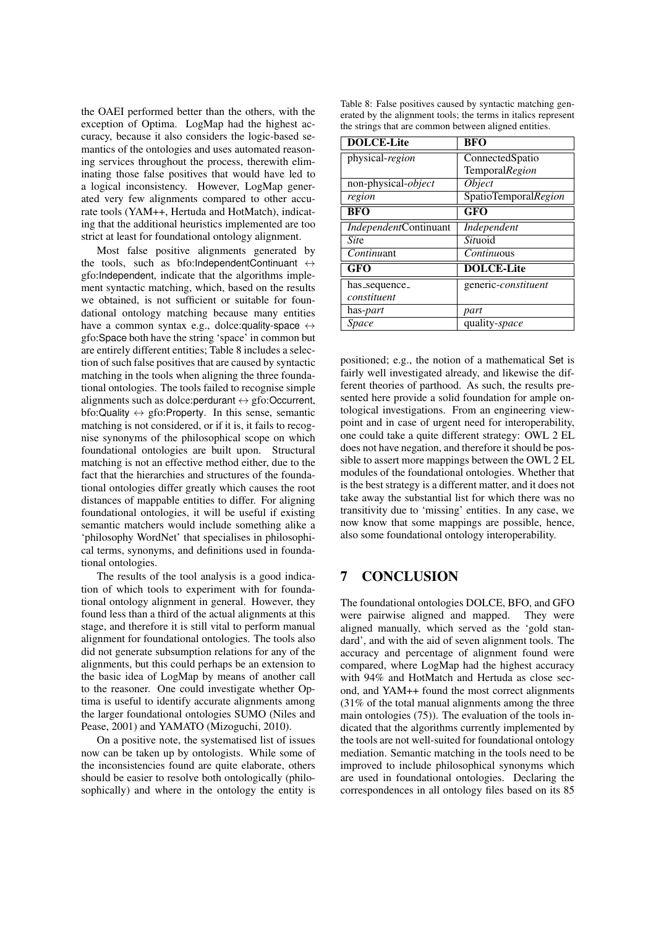the OAEI performed better than the others, with the exception of Optima. LogMap had the highest accuracy, because it also considers the logic-based semantics of the ontologies and uses automated reasoning services throughout the process, therewith eliminating those false positives that would have led to a logical inconsistency. However, LogMap generated very few alignments compared to other accurate tools (YAM++, Hertuda and HotMatch), indicating that the additional heuristics implemented are too strict at least for foundational ontology alignment.

Most false positive alignments generated by the tools, such as bfo:IndependentContinuant  $\leftrightarrow$ gfo:Independent, indicate that the algorithms implement syntactic matching, which, based on the results we obtained, is not sufficient or suitable for foundational ontology matching because many entities have a common syntax e.g., dolce:quality-space  $\leftrightarrow$ gfo:Space both have the string 'space' in common but are entirely different entities; Table 8 includes a selection of such false positives that are caused by syntactic matching in the tools when aligning the three foundational ontologies. The tools failed to recognise simple alignments such as dolce: perdurant  $\leftrightarrow$  gfo: Occurrent, bfo:Quality  $\leftrightarrow$  gfo:Property. In this sense, semantic matching is not considered, or if it is, it fails to recognise synonyms of the philosophical scope on which foundational ontologies are built upon. Structural matching is not an effective method either, due to the fact that the hierarchies and structures of the foundational ontologies differ greatly which causes the root distances of mappable entities to differ. For aligning foundational ontologies, it will be useful if existing semantic matchers would include something alike a 'philosophy WordNet' that specialises in philosophical terms, synonyms, and definitions used in foundational ontologies.

The results of the tool analysis is a good indication of which tools to experiment with for foundational ontology alignment in general. However, they found less than a third of the actual alignments at this stage, and therefore it is still vital to perform manual alignment for foundational ontologies. The tools also did not generate subsumption relations for any of the alignments, but this could perhaps be an extension to the basic idea of LogMap by means of another call to the reasoner. One could investigate whether Optima is useful to identify accurate alignments among the larger foundational ontologies SUMO (Niles and Pease, 2001) and YAMATO (Mizoguchi, 2010).

On a positive note, the systematised list of issues now can be taken up by ontologists. While some of the inconsistencies found are quite elaborate, others should be easier to resolve both ontologically (philosophically) and where in the ontology the entity is Table 8: False positives caused by syntactic matching generated by the alignment tools; the terms in italics represent the strings that are common between aligned entities.

| <b>DOLCE-Lite</b>             | <b>BFO</b>           |
|-------------------------------|----------------------|
| physical-region               | ConnectedSpatio      |
|                               | TemporalRegion       |
| non-physical-object           | <i>Object</i>        |
| region                        | SpatioTemporalRegion |
| <b>BFO</b>                    | <b>GFO</b>           |
| <i>Independent</i> Continuant | Independent          |
| Site                          | Situoid              |
| Continuant                    | Continuous           |
| <b>GFO</b>                    | <b>DOLCE-Lite</b>    |
| has_sequence_                 | generic-constituent  |
| constituent                   |                      |
| has- <i>part</i>              | part                 |
| Space                         | quality-space        |

positioned; e.g., the notion of a mathematical Set is fairly well investigated already, and likewise the different theories of parthood. As such, the results presented here provide a solid foundation for ample ontological investigations. From an engineering viewpoint and in case of urgent need for interoperability, one could take a quite different strategy: OWL 2 EL does not have negation, and therefore it should be possible to assert more mappings between the OWL 2 EL modules of the foundational ontologies. Whether that is the best strategy is a different matter, and it does not take away the substantial list for which there was no transitivity due to 'missing' entities. In any case, we now know that some mappings are possible, hence, also some foundational ontology interoperability.

# 7 CONCLUSION

The foundational ontologies DOLCE, BFO, and GFO were pairwise aligned and mapped. They were aligned manually, which served as the 'gold standard', and with the aid of seven alignment tools. The accuracy and percentage of alignment found were compared, where LogMap had the highest accuracy with 94% and HotMatch and Hertuda as close second, and YAM++ found the most correct alignments (31% of the total manual alignments among the three main ontologies (75)). The evaluation of the tools indicated that the algorithms currently implemented by the tools are not well-suited for foundational ontology mediation. Semantic matching in the tools need to be improved to include philosophical synonyms which are used in foundational ontologies. Declaring the correspondences in all ontology files based on its 85